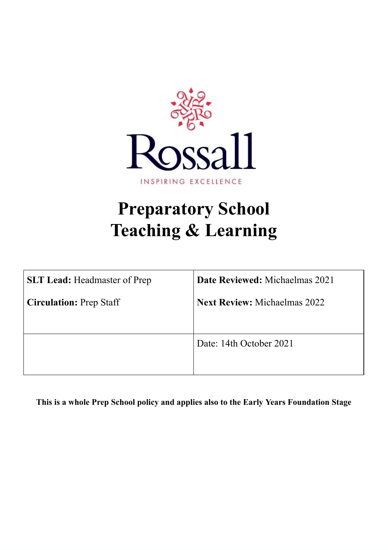

# **Preparatory School Teaching & Learning**

| <b>SLT Lead: Headmaster of Prep</b> | <b>Date Reviewed:</b> Michaelmas 2021 |
|-------------------------------------|---------------------------------------|
| <b>Circulation: Prep Staff</b>      | <b>Next Review: Michaelmas 2022</b>   |
|                                     |                                       |
|                                     | Date: 14th October 2021               |
|                                     |                                       |

**This is a whole Prep School policy and applies also to the Early Years Foundation Stage**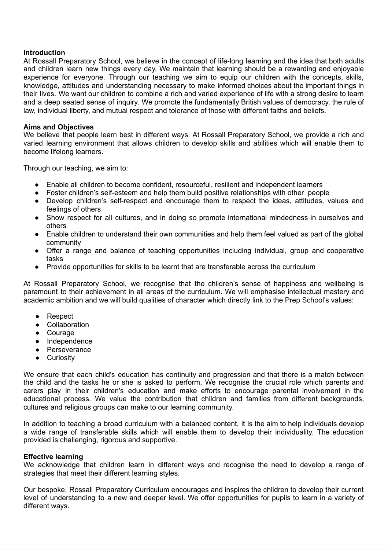### **Introduction**

At Rossall Preparatory School, we believe in the concept of life-long learning and the idea that both adults and children learn new things every day. We maintain that learning should be a rewarding and enjoyable experience for everyone. Through our teaching we aim to equip our children with the concepts, skills, knowledge, attitudes and understanding necessary to make informed choices about the important things in their lives. We want our children to combine a rich and varied experience of life with a strong desire to learn and a deep seated sense of inquiry. We promote the fundamentally British values of democracy, the rule of law, individual liberty, and mutual respect and tolerance of those with different faiths and beliefs.

#### **Aims and Objectives**

We believe that people learn best in different ways. At Rossall Preparatory School, we provide a rich and varied learning environment that allows children to develop skills and abilities which will enable them to become lifelong learners.

Through our teaching, we aim to:

- Enable all children to become confident, resourceful, resilient and independent learners
- Foster children's self-esteem and help them build positive relationships with other people
- Develop children's self-respect and encourage them to respect the ideas, attitudes, values and feelings of others
- Show respect for all cultures, and in doing so promote international mindedness in ourselves and others
- Enable children to understand their own communities and help them feel valued as part of the global community
- Offer a range and balance of teaching opportunities including individual, group and cooperative tasks
- Provide opportunities for skills to be learnt that are transferable across the curriculum

At Rossall Preparatory School, we recognise that the children's sense of happiness and wellbeing is paramount to their achievement in all areas of the curriculum. We will emphasise intellectual mastery and academic ambition and we will build qualities of character which directly link to the Prep School's values:

- Respect
- Collaboration
- Courage
- Independence
- Perseverance
- **•** Curiosity

We ensure that each child's education has continuity and progression and that there is a match between the child and the tasks he or she is asked to perform. We recognise the crucial role which parents and carers play in their children's education and make efforts to encourage parental involvement in the educational process. We value the contribution that children and families from different backgrounds, cultures and religious groups can make to our learning community.

In addition to teaching a broad curriculum with a balanced content, it is the aim to help individuals develop a wide range of transferable skills which will enable them to develop their individuality. The education provided is challenging, rigorous and supportive.

#### **Effective learning**

We acknowledge that children learn in different ways and recognise the need to develop a range of strategies that meet their different learning styles.

Our bespoke, Rossall Preparatory Curriculum encourages and inspires the children to develop their current level of understanding to a new and deeper level. We offer opportunities for pupils to learn in a variety of different ways.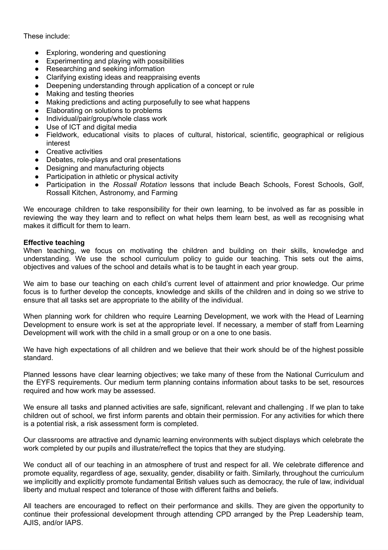These include:

- Exploring, wondering and questioning
- Experimenting and playing with possibilities
- Researching and seeking information
- Clarifying existing ideas and reappraising events
- Deepening understanding through application of a concept or rule
- Making and testing theories
- Making predictions and acting purposefully to see what happens
- Elaborating on solutions to problems
- Individual/pair/group/whole class work
- Use of ICT and digital media
- Fieldwork, educational visits to places of cultural, historical, scientific, geographical or religious interest
- Creative activities
- Debates, role-plays and oral presentations
- Designing and manufacturing objects
- Participation in athletic or physical activity
- Participation in the *Rossall Rotation* lessons that include Beach Schools, Forest Schools, Golf, Rossall Kitchen, Astronomy, and Farming

We encourage children to take responsibility for their own learning, to be involved as far as possible in reviewing the way they learn and to reflect on what helps them learn best, as well as recognising what makes it difficult for them to learn.

#### **Effective teaching**

When teaching, we focus on motivating the children and building on their skills, knowledge and understanding. We use the school curriculum policy to guide our teaching. This sets out the aims, objectives and values of the school and details what is to be taught in each year group.

We aim to base our teaching on each child's current level of attainment and prior knowledge. Our prime focus is to further develop the concepts, knowledge and skills of the children and in doing so we strive to ensure that all tasks set are appropriate to the ability of the individual.

When planning work for children who require Learning Development, we work with the Head of Learning Development to ensure work is set at the appropriate level. If necessary, a member of staff from Learning Development will work with the child in a small group or on a one to one basis.

We have high expectations of all children and we believe that their work should be of the highest possible standard.

Planned lessons have clear learning objectives; we take many of these from the National Curriculum and the EYFS requirements. Our medium term planning contains information about tasks to be set, resources required and how work may be assessed.

We ensure all tasks and planned activities are safe, significant, relevant and challenging . If we plan to take children out of school, we first inform parents and obtain their permission. For any activities for which there is a potential risk, a risk assessment form is completed.

Our classrooms are attractive and dynamic learning environments with subject displays which celebrate the work completed by our pupils and illustrate/reflect the topics that they are studying.

We conduct all of our teaching in an atmosphere of trust and respect for all. We celebrate difference and promote equality, regardless of age, sexuality, gender, disability or faith. Similarly, throughout the curriculum we implicitly and explicitly promote fundamental British values such as democracy, the rule of law, individual liberty and mutual respect and tolerance of those with different faiths and beliefs.

All teachers are encouraged to reflect on their performance and skills. They are given the opportunity to continue their professional development through attending CPD arranged by the Prep Leadership team, AJIS, and/or IAPS.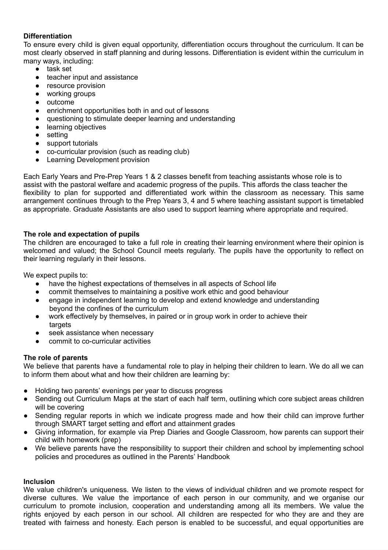# **Differentiation**

To ensure every child is given equal opportunity, differentiation occurs throughout the curriculum. It can be most clearly observed in staff planning and during lessons. Differentiation is evident within the curriculum in many ways, including:

- task set
- teacher input and assistance
- resource provision
- working groups
- outcome
- enrichment opportunities both in and out of lessons
- questioning to stimulate deeper learning and understanding
- learning objectives
- setting
- support tutorials
- co-curricular provision (such as reading club)
- Learning Development provision

Each Early Years and Pre-Prep Years 1 & 2 classes benefit from teaching assistants whose role is to assist with the pastoral welfare and academic progress of the pupils. This affords the class teacher the flexibility to plan for supported and differentiated work within the classroom as necessary. This same arrangement continues through to the Prep Years 3, 4 and 5 where teaching assistant support is timetabled as appropriate. Graduate Assistants are also used to support learning where appropriate and required.

# **The role and expectation of pupils**

The children are encouraged to take a full role in creating their learning environment where their opinion is welcomed and valued; the School Council meets regularly. The pupils have the opportunity to reflect on their learning regularly in their lessons.

We expect pupils to:

- have the highest expectations of themselves in all aspects of School life
- commit themselves to maintaining a positive work ethic and good behaviour
- engage in independent learning to develop and extend knowledge and understanding beyond the confines of the curriculum
- work effectively by themselves, in paired or in group work in order to achieve their targets
- seek assistance when necessary
- commit to co-curricular activities

## **The role of parents**

We believe that parents have a fundamental role to play in helping their children to learn. We do all we can to inform them about what and how their children are learning by:

- Holding two parents' evenings per year to discuss progress
- Sending out Curriculum Maps at the start of each half term, outlining which core subject areas children will be covering
- Sending regular reports in which we indicate progress made and how their child can improve further through SMART target setting and effort and attainment grades
- Giving information, for example via Prep Diaries and Google Classroom, how parents can support their child with homework (prep)
- We believe parents have the responsibility to support their children and school by implementing school policies and procedures as outlined in the Parents' Handbook

## **Inclusion**

We value children's uniqueness. We listen to the views of individual children and we promote respect for diverse cultures. We value the importance of each person in our community, and we organise our curriculum to promote inclusion, cooperation and understanding among all its members. We value the rights enjoyed by each person in our school. All children are respected for who they are and they are treated with fairness and honesty. Each person is enabled to be successful, and equal opportunities are